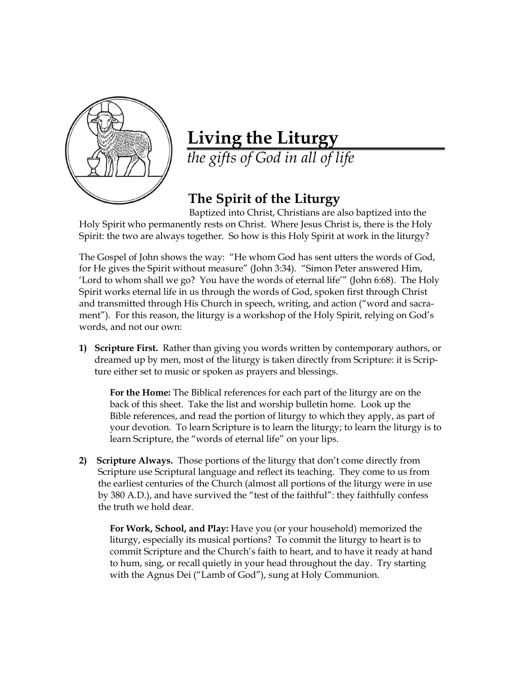

## **Living the Liturgy**

*the gifts of God in all of life*

## **The Spirit of the Liturgy**

 Baptized into Christ, Christians are also baptized into the Holy Spirit who permanently rests on Christ. Where Jesus Christ is, there is the Holy Spirit: the two are always together. So how is this Holy Spirit at work in the liturgy?

The Gospel of John shows the way: "He whom God has sent utters the words of God, for He gives the Spirit without measure" (John 3:34). "Simon Peter answered Him, 'Lord to whom shall we go? You have the words of eternal life'" (John 6:68). The Holy Spirit works eternal life in us through the words of God, spoken first through Christ and transmitted through His Church in speech, writing, and action ("word and sacrament"). For this reason, the liturgy is a workshop of the Holy Spirit, relying on God's words, and not our own:

**1) Scripture First.** Rather than giving you words written by contemporary authors, or dreamed up by men, most of the liturgy is taken directly from Scripture: it is Scripture either set to music or spoken as prayers and blessings.

**For the Home:** The Biblical references for each part of the liturgy are on the back of this sheet. Take the list and worship bulletin home. Look up the Bible references, and read the portion of liturgy to which they apply, as part of your devotion. To learn Scripture is to learn the liturgy; to learn the liturgy is to learn Scripture, the "words of eternal life" on your lips.

**2) Scripture Always.** Those portions of the liturgy that don't come directly from Scripture use Scriptural language and reflect its teaching. They come to us from the earliest centuries of the Church (almost all portions of the liturgy were in use by 380 A.D.), and have survived the "test of the faithful": they faithfully confess the truth we hold dear.

**For Work, School, and Play:** Have you (or your household) memorized the liturgy, especially its musical portions? To commit the liturgy to heart is to commit Scripture and the Church's faith to heart, and to have it ready at hand to hum, sing, or recall quietly in your head throughout the day. Try starting with the Agnus Dei ("Lamb of God"), sung at Holy Communion.